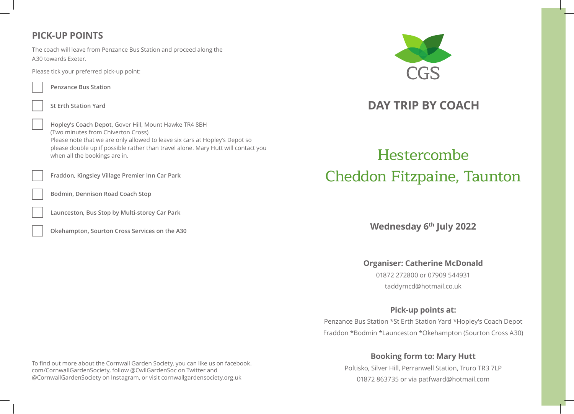## **PICK-UP POINTS**

The coach will leave from Penzance Bus Station and proceed along the A30 towards Exeter.

Please tick your preferred pick-up point:



**Penzance Bus Station**

**St Erth Station Yard**

**Hopley's Coach Depot,** Gover Hill, Mount Hawke TR4 8BH (Two minutes from Chiverton Cross) Please note that we are only allowed to leave six cars at Hopley's Depot so please double up if possible rather than travel alone. Mary Hutt will contact you when all the bookings are in.

**Fraddon, Kingsley Village Premier Inn Car Park**

**Bodmin, Dennison Road Coach Stop** 

**Launceston, Bus Stop by Multi-storey Car Park**

**Okehampton, Sourton Cross Services on the A30**



## **DAY TRIP BY COACH**

# Hestercombe Cheddon Fitzpaine, Taunton

**Wednesday 6th July 2022**

**Organiser: Catherine McDonald**

01872 272800 or 07909 544931 taddymcd@hotmail.co.uk

## **Pick-up points at:**

Penzance Bus Station \*St Erth Station Yard \*Hopley's Coach Depot Fraddon \*Bodmin \*Launceston \*Okehampton (Sourton Cross A30)

## **Booking form to: Mary Hutt**

Poltisko, Silver Hill, Perranwell Station, Truro TR3 7LP 01872 863735 or via patfward@hotmail.com

To find out more about the Cornwall Garden Society, you can like us on facebook. com/CornwallGardenSociety, follow @CwllGardenSoc on Twitter and @CornwallGardenSociety on Instagram, or visit cornwallgardensociety.org.uk